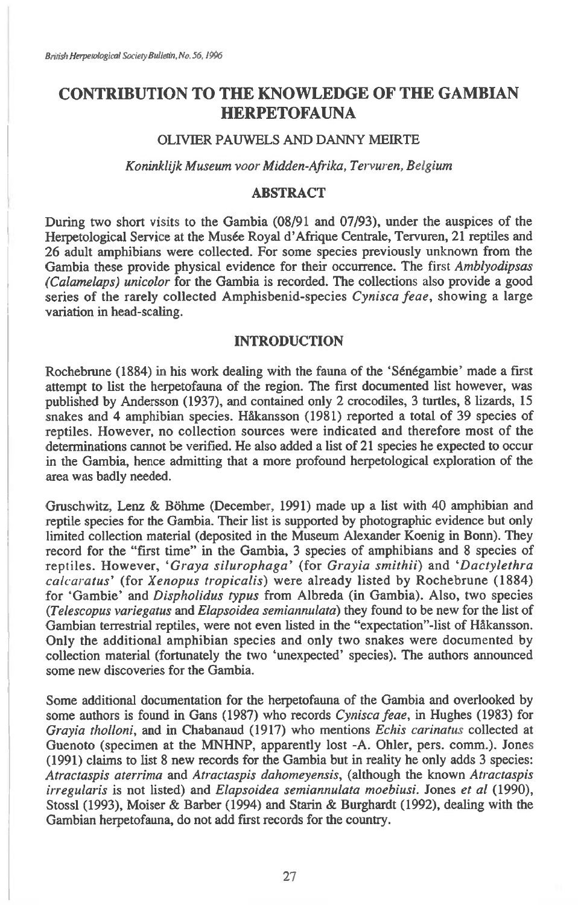# **CONTRIBUTION TO THE KNOWLEDGE OF THE GAMBIAN HERPETOFAUNA**

## OLIVIER PAUWELS AND DANNY MEIRTE

#### *Koninklijk Museum voor Midden-Afrika, Tervuren, Belgium*

# **ABSTRACT**

During two short visits to the Gambia (08/91 and 07/93), under the auspices of the Herpetological Service at the Musée Royal d'Afrique Centrale, Tervuren, 21 reptiles and 26 adult amphibians were collected. For some species previously unknown from the Gambia these provide physical evidence for their occurrence. The first *Amblyodipsas (Calamelaps) unicolor* for the Gambia is recorded. The collections also provide a good series of the rarely collected Amphisbenid-species *Cynisca feae,* showing a large variation in head-scaling.

## **INTRODUCTION**

Rochebrune (1884) in his work dealing with the fauna of the 'Sénégambie' made a first attempt to list the herpetofauna of the region. The first documented list however, was published by Andersson (1937), and contained only 2 crocodiles, 3 turtles, 8 lizards, 15 snakes and 4 amphibian species. HAkansson (1981) reported a total of 39 species of reptiles. However, no collection sources were indicated and therefore most of the determinations cannot be verified. He also added a list of 21 species he expected to occur in the Gambia, hence admitting that a more profound herpetological exploration of the area was badly needed.

Gruschwitz, Lenz & Böhme (December, 1991) made up a list with 40 amphibian and reptile species for the Gambia. Their list is supported by photographic evidence but only limited collection material (deposited in the Museum Alexander Koenig in Bonn). They record for the "first time" in the Gambia, 3 species of amphibians and 8 species of reptiles. However, *`Graya silurophaga'* (for *Grayia smithii)* and *`Dactylethra calcaratus'* (for *Xenopus tropicalis)* were already listed by Rochebrune (1884) for `Gambie' and *Dispholidus typus* from Albreda (in Gambia). Also, two species *(Telescopus variegatus* and *Elapsoidea semiannulata)* they found to be new for the list of Gambian terrestrial reptiles, were not even listed in the "expectation"-list of Hakansson. Only the additional amphibian species and only two snakes were documented by collection material (fortunately the two `unexpected' species). The authors announced some new discoveries for the Gambia.

Some additional documentation for the herpetofauna of the Gambia and overlooked by some authors is found in Gans (1987) who records *Cynisca feae, in* Hughes (1983) for *Grayia tholloni,* and in Chabanaud (1917) who mentions *Echis carinatus* collected at Guenoto (specimen at the MNHNP, apparently lost -A. Ohler, pers. comm.). Jones (1991) claims to list 8 new records for the Gambia but in reality he only adds 3 species: *Atractaspis aterrima* and *Atractaspis dahomeyensis,* (although the known *Atractaspis irregularis* is not listed) and *Elapsoidea semiannulata moebiusi.* Jones *et a!* (1990), Stossl (1993), Moiser & Barber (1994) and Starin & Burghardt (1992), dealing with the Gambian herpetofauna, do not add first records for the country.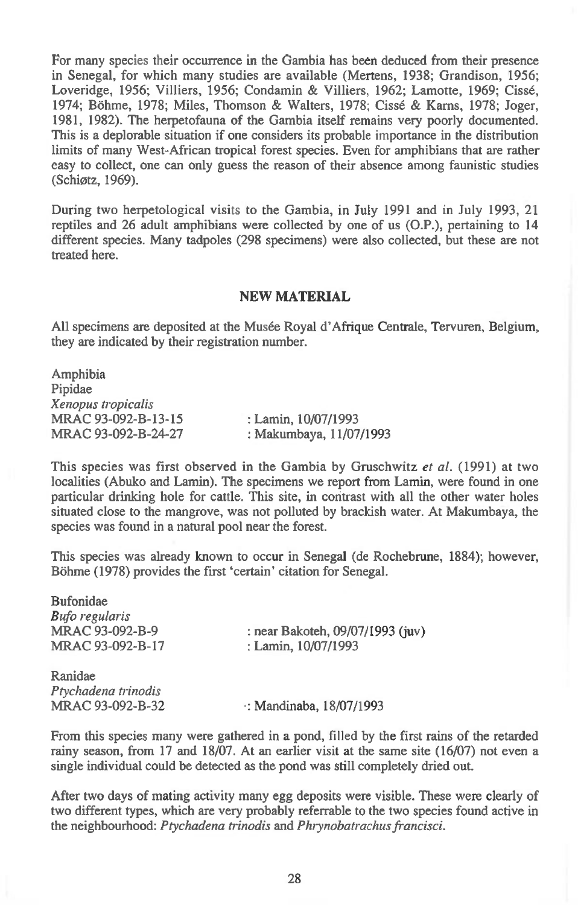For many species their occurrence in the Gambia has been deduced from their presence in Senegal, for which many studies are available (Mertens, 1938; Grandison, 1956; Loveridge, 1956; Villiers, 1956; Condamin & Villiers, 1962; Lamotte, 1969; Cisse, 1974; Bohme, 1978; Miles, Thomson & Walters, 1978; Cisse & Karns, 1978; Joger, 1981, 1982). The herpetofauna of the Gambia itself remains very poorly documented. This is a deplorable situation if one considers its probable importance in the distribution limits of many West-African tropical forest species. Even for amphibians that are rather easy to collect, one can only guess the reason of their absence among faunistic studies (Schiotz, 1969).

During two herpetological visits to the Gambia, in July 1991 and in July 1993, 21 reptiles and 26 adult amphibians were collected by one of us (0.P.), pertaining to 14 different species. Many tadpoles (298 specimens) were also collected, but these are not treated here.

#### **NEW MATERIAL**

All specimens are deposited at the Musée Royal d'Afrique Centrale, Tervuren, Belgium, they are indicated by their registration number.

Amphibia Pipidae *Xenopus tropicalis*  MRAC 93-092-B-13-15 MRAC 93-092-B-24-27 : Lamin, 10/07/1993 : Makumbaya, 11/07/1993

This species was first observed in the Gambia by Gruschwitz *et al.* (1991) at two localities (Abuko and Lamin). The specimens we report from Lamin, were found in one particular drinking hole for cattle. This site, in contrast with all the other water holes situated close to the mangrove, was not polluted by brackish water. At Makumbaya, the species was found in a natural pool near the forest.

This species was already known to occur in Senegal (de Rochebrune, 1884); however, Bohme (1978) provides the first 'certain' citation for Senegal.

| : near Bakoteh, 09/07/1993 (juv) |
|----------------------------------|
| : Lamin, 10/07/1993              |
|                                  |
|                                  |
| $\cdot$ : Mandinaba, 18/07/1993  |
|                                  |

From this species many were gathered in a pond, filled by the first rains of the retarded rainy season, from 17 and 18/07. At an earlier visit at the same site (16/07) not even a single individual could be detected as the pond was still completely dried out.

After two days of mating activity many egg deposits were visible. These were clearly of two different types, which are very probably referrable to the two species found active in the neighbourhood: *Ptychadena trinodis* and *Phrynobatrachus francisci.*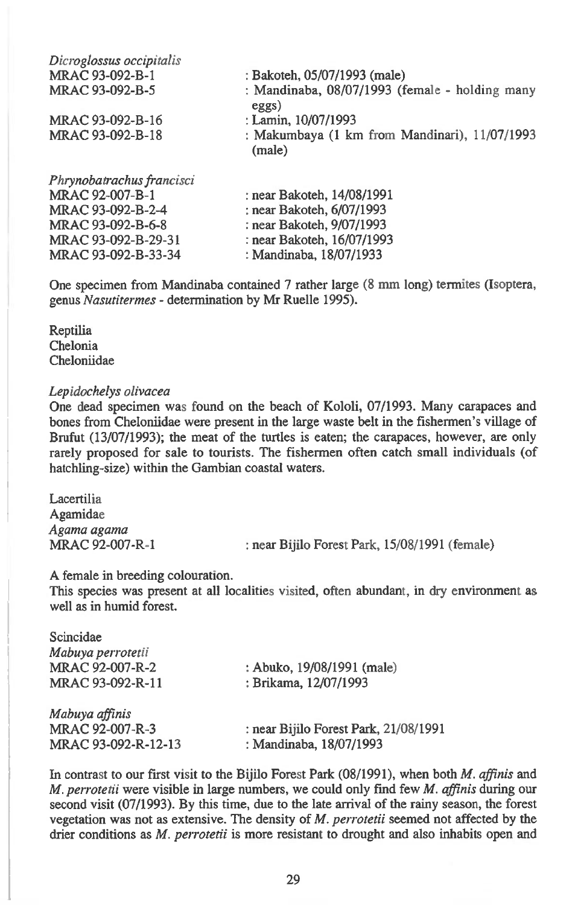| Dicroglossus occipitalis |                                                         |
|--------------------------|---------------------------------------------------------|
| MRAC 93-092-B-1          | : Bakoteh, 05/07/1993 (male)                            |
| MRAC 93-092-B-5          | : Mandinaba, 08/07/1993 (female - holding many<br>eggs) |
| MRAC 93-092-B-16         | : Lamin, 10/07/1993                                     |
| MRAC 93-092-B-18         | : Makumbaya (1 km from Mandinari), 11/07/1993<br>(male) |
|                          |                                                         |

: near Bakoteh, 14/08/1991 : near Bakoteh, 6/07/1993 : near Bakoteh, 9/07/1993 : near Bakoteh, 16/07/1993 : Mandinaba, 18/07/1933

One specimen from Mandinaba contained 7 rather large (8 mm long) termites (Isoptera, genus *Nasutitermes -* determination by Mr Ruelle 1995).

Reptilia Chelonia Cheloniidae

## *Lepidochelys olivacea*

One dead specimen was found on the beach of Kololi, 07/1993. Many carapaces and bones from Cheloniidae were present in the large waste belt in the fishermen's village of Brufut (13/07/1993); the meat of the turtles is eaten; the carapaces, however, are only rarely proposed for sale to tourists. The fishermen often catch small individuals (of hatchling-size) within the Gambian coastal waters.

Lacertilia Agamidae *Agama agama* 

: near Bijilo Forest Park, 15/08/1991 (female)

A female in breeding colouration.

This species was present at all localities visited, often abundant, in dry environment as well as in humid forest.

| Scincidae           |                                       |
|---------------------|---------------------------------------|
| Mabuya perrotetii   |                                       |
| MRAC 92-007-R-2     | : Abuko, 19/08/1991 (male)            |
| MRAC 93-092-R-11    | : Brikama, 12/07/1993                 |
| Mabuya affinis      |                                       |
| MRAC 92-007-R-3     | : near Bijilo Forest Park, 21/08/1991 |
| MRAC 93-092-R-12-13 | : Mandinaba, 18/07/1993               |

In contrast to our first visit to the Bijilo Forest Park (08/1991), when both *M. affinis* and *M. perrotetii* were visible in large numbers, we could only find few *M. affinis* during our second visit (07/1993). By this time, due to the late arrival of the rainy season, the forest vegetation was not as extensive. The density of *M. perrotetii* seemed not affected by the drier conditions as *M. perrotetii* is more resistant to drought and also inhabits open and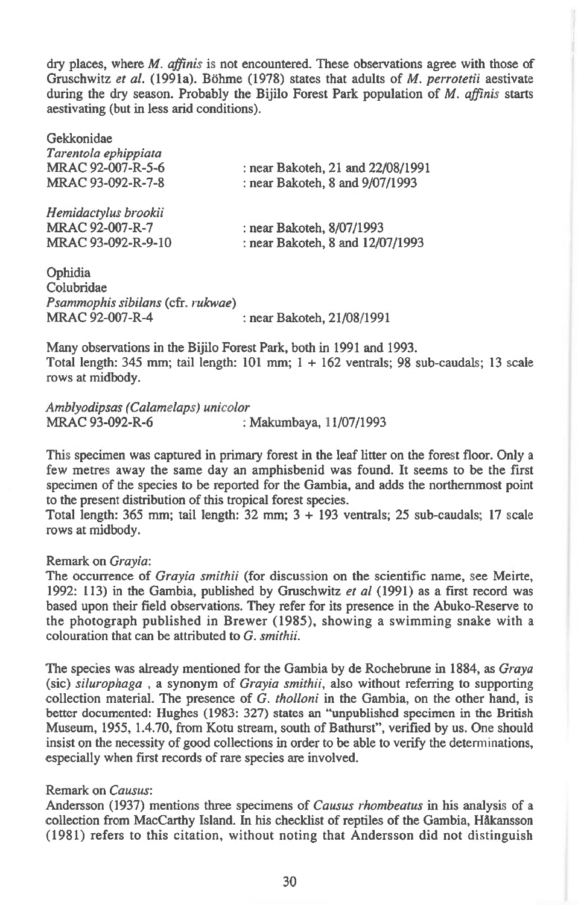dry places, where *M. affinis* is not encountered. These observations agree with those of Gruschwitz et al. (1991a). Böhme (1978) states that adults of *M. perrotetii* aestivate during the dry season. Probably the Bijilo Forest Park population of *M. affinis* starts aestivating (but in less arid conditions).

| Gekkonidae                |                                   |
|---------------------------|-----------------------------------|
| Tarentola ephippiata      |                                   |
| MRAC 92-007-R-5-6         | : near Bakoteh, 21 and 22/08/1991 |
| MRAC 93-092-R-7-8         | : near Bakoteh, 8 and 9/07/1993   |
| Hemidactylus brookii      |                                   |
| MRAC 92-007-R-7           | : near Bakoteh, 8/07/1993         |
| MRAC 93-092-R-9-10        | : near Bakoteh, 8 and 12/07/1993  |
| Ophidia<br>$C_2$ lubridae |                                   |

Colubridae *Psammophis sibilans* (cfr. *rukwae)*  MRAC 92-007-R-4 : near Bakoteh, 21/08/1991

Many observations in the Bijilo Forest Park, both in 1991 and 1993. Total length:  $345$  mm; tail length:  $101$  mm;  $1 + 162$  ventrals;  $98$  sub-caudals;  $13$  scale rows at midbody.

*Amblyodipsas (Calamelaps) unicolor*  : Makumbaya, 11/07/1993

This specimen was captured in primary forest in the leaf litter on the forest floor. Only a few metres away the same day an amphisbenid was found. It seems to be the first specimen of the species to be reported for the Gambia, and adds the northernmost point to the present distribution of this tropical forest species.

Total length: 365 mm; tail length: 32 mm; 3 + 193 ventrals; 25 sub-caudals; 17 scale rows at midbody.

#### Remark on *Grayia:*

The occurrence of *Grayia smithii* (for discussion on the scientific name, see Meirte, 1992: 113) in the Gambia, published by Gruschwitz *et al* (1991) as a first record was based upon their field observations. They refer for its presence in the Abuko-Reserve to the photograph published in Brewer (1985), showing a swimming snake with a colouration that can be attributed to *G. smithii.* 

The species was already mentioned for the Gambia by de Rochebrune in 1884, as *Graya (sic) silurophaga ,* a synonym of *Grayia smithii,* also without referring to supporting collection material. The presence of *G. tholloni in the* Gambia, on the other hand, is better documented: Hughes (1983: 327) states an "unpublished specimen in the British Museum, 1955, 1.4.70, from Kotu stream, south of Bathurst", verified by us. One should insist on the necessity of good collections in order to be able to verify the determinations, especially when first records of rare species are involved.

#### Remark on *Causus:*

Andersson (1937) mentions three specimens of *Causus rhombeatus in* his analysis of a collection from MacCarthy Island. In his checklist of reptiles of the Gambia, Håkansson (1981) refers to this citation, without noting that Andersson did not distinguish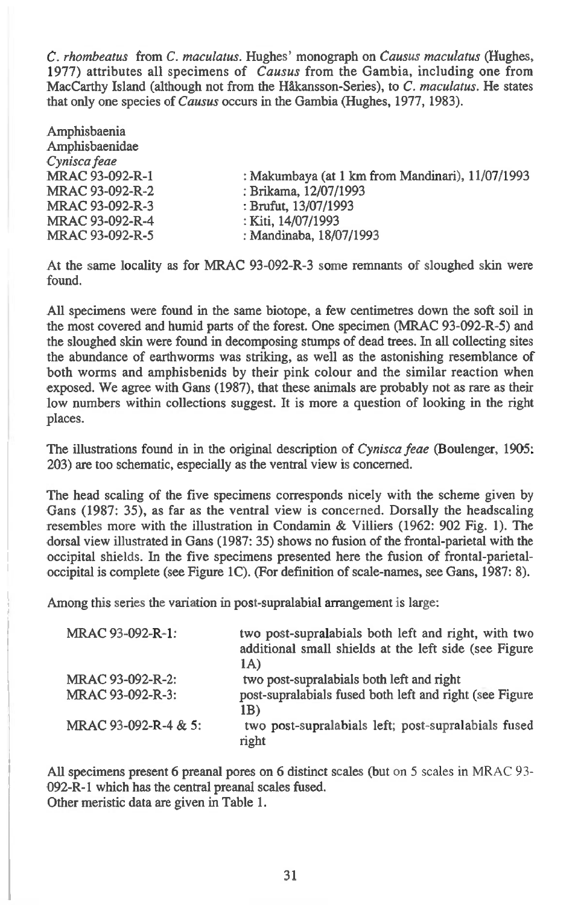*C. rhombeatus* from *C. maculatus.* Hughes' monograph on *Causus maculatus* (Hughes, 1977) attributes all specimens of *Causus* from the Gambia, including one from MacCarthy Island (although not from the Hikansson-Series), to *C. maculatus.* He states that only one species of *Causus* occurs in the Gambia (Hughes, 1977, 1983).

| Amphisbaenia    |                                                  |
|-----------------|--------------------------------------------------|
| Amphisbaenidae  |                                                  |
| Cynisca feae    |                                                  |
| MRAC 93-092-R-1 | : Makumbaya (at 1 km from Mandinari), 11/07/1993 |
| MRAC 93-092-R-2 | : Brikama, 12/07/1993                            |
| MRAC 93-092-R-3 | : Brufut, 13/07/1993                             |
| MRAC 93-092-R-4 | : Kiti, 14/07/1993                               |
| MRAC 93-092-R-5 | : Mandinaba, 18/07/1993                          |
|                 |                                                  |

At the same locality as for MRAC 93-092-R-3 some remnants of sloughed skin were found.

All specimens were found in the same biotope, a few centimetres down the soft soil in the most covered and humid parts of the forest. One specimen (MRAC 93-092-R-5) and the sloughed skin were found in decomposing stumps of dead trees. In all collecting sites the abundance of earthworms was striking, as well as the astonishing resemblance of both worms and amphisbenids by their pink colour and the similar reaction when exposed. We agree with Gans (1987), that these animals are probably not as rare as their low numbers within collections suggest. It is more a question of looking in the right places.

The illustrations found in in the original description of *Cynisca feae* (Boulenger, 1905: 203) are too schematic, especially as the ventral view is concerned.

The head scaling of the five specimens corresponds nicely with the scheme given by Gans (1987: 35), as far as the ventral view is concerned. Dorsally the headscaling resembles more with the illustration in Condamin & Villiers (1962: 902 Fig. 1). The dorsal view illustrated in Gans (1987: 35) shows no fusion of the frontal-parietal with the occipital shields. In the five specimens presented here the fusion of frontal-parietaloccipital is complete (see Figure 1C). (For definition of scale-names, see Gans, 1987: 8).

Among this series the variation in post-supralabial arrangement is large:

| MRAC 93-092-R-1:     | two post-supralabials both left and right, with two<br>additional small shields at the left side (see Figure<br>1A) |
|----------------------|---------------------------------------------------------------------------------------------------------------------|
| MRAC 93-092-R-2:     | two post-supralabials both left and right                                                                           |
| MRAC 93-092-R-3:     | post-supralabials fused both left and right (see Figure<br>1B)                                                      |
| MRAC 93-092-R-4 & 5: | two post-supralabials left; post-supralabials fused<br>right                                                        |

All specimens present 6 preanal pores on 6 distinct scales (but on 5 scales in MRAC 93- 092-R-1 which has the central preanal scales fused. Other meristic data are given in Table 1.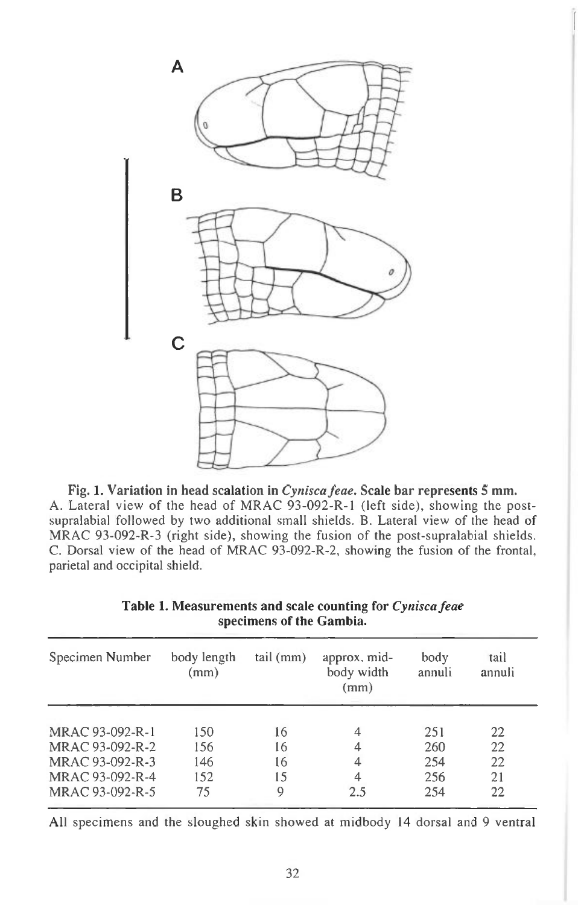

Fig. 1. Variation in head scalation in *Cynisca feae*. Scale bar represents 5 mm. A. Lateral view of the head of MRAC 93-092-R-1 (left side), showing the postsupralabial followed by two additional small shields. B. Lateral view of the head of MRAC 93-092-R-3 (right side), showing the fusion of the post-supralabial shields. C. Dorsal view of the head of MRAC 93-092-R-2, showing the fusion of the frontal, parietal and occipital shield.

| Specimen Number | body length<br>(mm) | tail (mm) | approx. mid-<br>body width<br>(mm) | body<br>annuli | tail<br>annuli |
|-----------------|---------------------|-----------|------------------------------------|----------------|----------------|
| MRAC 93-092-R-1 | 150                 | 16        |                                    | 251            | 22             |
| MRAC 93-092-R-2 | 156                 | 16        |                                    | 260            | 22             |
| MRAC 93-092-R-3 | 146                 | 16        | 4                                  | 254            | 22             |
| MRAC 93-092-R-4 | 152                 | 15        | 4                                  | 256            | 21             |
| MRAC 93-092-R-5 | 75                  | 9         | 2.5                                | 254            | 22             |

**Table 1. Measurements and scale counting for** *Cynisca feae*  **specimens of the Gambia.** 

All specimens and the sloughed skin showed at midbody 14 dorsal and 9 ventral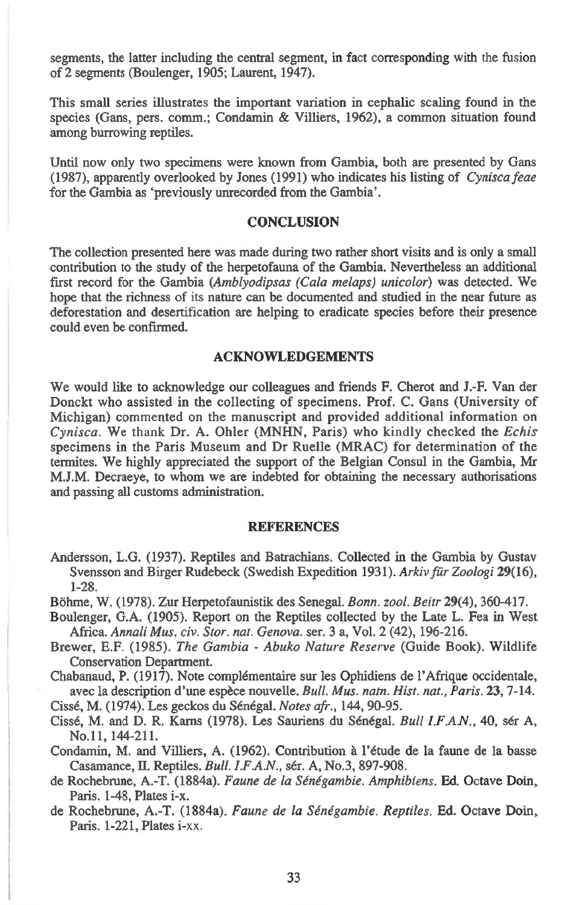segments, the latter including the central segment, in fact corresponding with the fusion of 2 segments (Boulenger, 1905; Laurent, 1947).

This small series illustrates the important variation in cephalic scaling found in the species (Gans, pers. comm.; Condamin & Villiers, 1962), a common situation found among burrowing reptiles.

Until now only two specimens were known from Gambia, both are presented by Gans (1987), apparently overlooked by Jones (1991) who indicates his listing of *Cynisca feae*  for the Gambia as 'previously unrecorded from the Gambia'.

#### **CONCLUSION**

The collection presented here was made during two rather short visits and is only a small contribution to the study of the herpetofauna of the Gambia. Nevertheless an additional first record for the Gambia *(Amblyodipsas (Cala melaps) unicolor)* was detected. We hope that the richness of its nature can be documented and studied in the near future as deforestation and desertification are helping to eradicate species before their presence could even be confirmed.

#### ACKNOWLEDGEMENTS

We would like to acknowledge our colleagues and friends F. Cherot and J.-F. Van der Donckt who assisted in the collecting of specimens. Prof. C. Gans (University of Michigan) commented on the manuscript and provided additional information on *Cynisca.* We thank Dr. A. Ohler (MNHN, Paris) who kindly checked the *Echis*  specimens in the Paris Museum and Dr Ruelle (MRAC) for determination of the termites. We highly appreciated the support of the Belgian Consul in the Gambia, Mr M.J.M. Decraeye, to whom we are indebted for obtaining the necessary authorisations and passing all customs administration.

#### REFERENCES

- Andersson, L.G. (1937). Reptiles and Batrachians. Collected in the Gambia by Gustav Svensson and Birger Rudebeck (Swedish Expedition 1931). *Arkiv fiir Zoologi* 29(16), 1-28.
- Mime, W. (1978). Zur Herpetofaunistik des Senegal. *Bonn. zool. Beitr* 29(4), 360-417.
- Boulenger, G.A. (1905). Report on the Reptiles collected by the Late L. Fea in West Africa. *Annali Mus. civ. Stor. nat. Genova.* ser. 3 a, Vol. 2 (42), 196-216.
- Brewer, E.F. (1985). *The Gambia Abuko Nature Reserve* (Guide Book). Wildlife Conservation Department.

Chabanaud, P. (1917). Note complementaire sur les Ophidiens de l'Afrique occidentale, avec la description d'une espece nouvelle. *Bull. Mus. natn. Hist. nat., Paris.* 23, 7-14.

Cisse, M. (1974). Les geckos du Senegal. *Notes afr.,* 144, 90-95.

Cissé, M. and D. R. Karns (1978). Les Sauriens du Sénégal. *Bull I.F.A.N.*, 40, sér A, No.11, 144-211.

Condamin, M. and Villiers, A. (1962). Contribution a l'etude de la faune de la basse Casamance, II. Reptiles. *Bull. I.F.A.N.,* ser. A, No.3, 897-908.

- de Rochebrune, A.-T. (1884a). *Faune de la Senegambie. Amphibiens.* Ed. Octave Doin, Paris. 1-48, Plates i-x.
- de Rochebrune, A.-T. (1884a). *Faune de la Senegambie. Reptiles.* Ed. Octave Doin, Paris. 1-221, Plates i-xx.